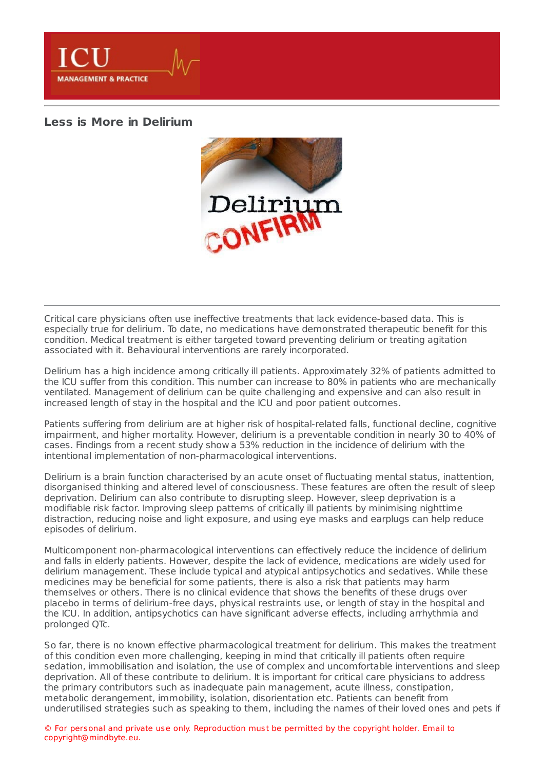**MANAGEMENT & PRACTICE** 

## **Less is More in [Delirium](https://healthmanagement.org/s/less-is-more-in-delirium)**



Critical care physicians often use ineffective treatments that lack evidence-based data. This is especially true for delirium. To date, no medications have demonstrated therapeutic benefit for this condition. Medical treatment is either targeted toward preventing delirium or treating agitation associated with it. Behavioural interventions are rarely incorporated.

Delirium has a high incidence among critically ill patients. Approximately 32% of patients admitted to the ICU suffer from this condition. This number can increase to 80% in patients who are mechanically ventilated. Management of delirium can be quite challenging and expensive and can also result in increased length of stay in the hospital and the ICU and poor patient outcomes.

Patients suffering from delirium are at higher risk of hospital-related falls, functional decline, cognitive impairment, and higher mortality. However, delirium is a preventable condition in nearly 30 to 40% of cases. Findings from a recent study show a 53% reduction in the incidence of delirium with the intentional implementation of non-pharmacological interventions.

Delirium is a brain function characterised by an acute onset of fluctuating mental status, inattention, disorganised thinking and altered level of consciousness. These features are often the result of sleep deprivation. Delirium can also contribute to disrupting sleep. However, sleep deprivation is a modifiable risk factor. Improving sleep patterns of critically ill patients by minimising nighttime distraction, reducing noise and light exposure, and using eye masks and earplugs can help reduce episodes of delirium.

Multicomponent non-pharmacological interventions can effectively reduce the incidence of delirium and falls in elderly patients. However, despite the lack of evidence, medications are widely used for delirium management. These include typical and atypical antipsychotics and sedatives. While these medicines may be beneficial for some patients, there is also a risk that patients may harm themselves or others. There is no clinical evidence that shows the benefits of these drugs over placebo in terms of delirium-free days, physical restraints use, or length of stay in the hospital and the ICU. In addition, antipsychotics can have significant adverse effects, including arrhythmia and prolonged QTc.

So far, there is no known effective pharmacological treatment for delirium. This makes the treatment of this condition even more challenging, keeping in mind that critically ill patients often require sedation, immobilisation and isolation, the use of complex and uncomfortable interventions and sleep deprivation. All of these contribute to delirium. It is important for critical care physicians to address the primary contributors such as inadequate pain management, acute illness, constipation, metabolic derangement, immobility, isolation, disorientation etc. Patients can benefit from underutilised strategies such as speaking to them, including the names of their loved ones and pets if

© For personal and private use only. Reproduction must be permitted by the copyright holder. Email to copyright@mindbyte.eu.